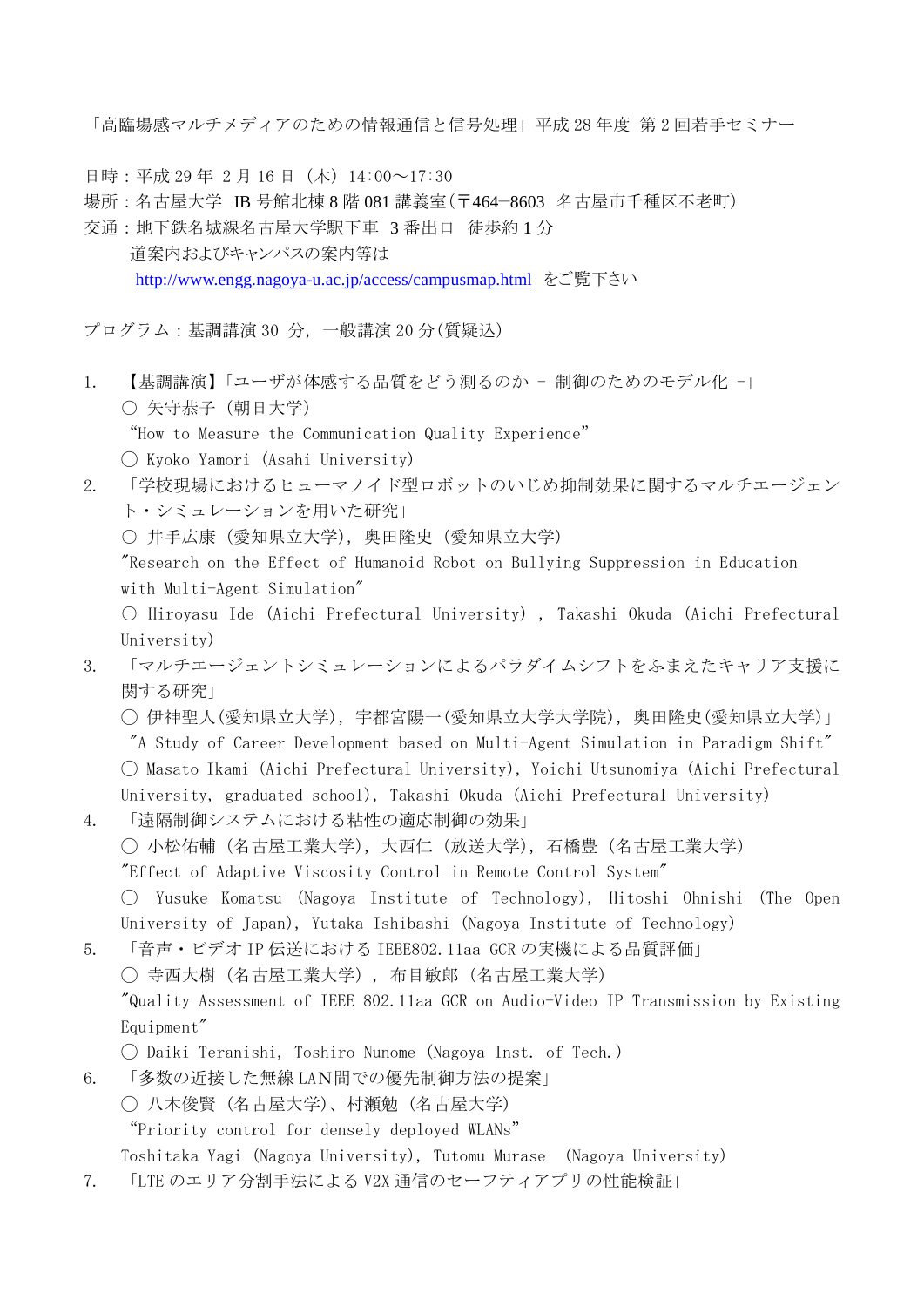「高臨場感マルチメディアのための情報通信と信号処理」平成 28 年度 第 2 回若手セミナー

- 日時:平成 29年 2月 16日 (木) 14:00~17:30
- 場所:名古屋大学 IB 号館北棟 8 階 081 講義室(〒464−8603 名古屋市千種区不老町)
- 交通:地下鉄名城線名古屋大学駅下車 3 番出口 徒歩約 1 分 道案内およびキャンパスの案内等は <http://www.engg.nagoya-u.ac.jp/access/campusmap.html> をご覧下さい

プログラム:基調講演 30 分,一般講演 20 分(質疑込)

- 1. 【基調講演】「ユーザが体感する品質をどう測るのか 制御のためのモデル化 -」 〇 矢守恭子(朝日大学)
	- "How to Measure the Communication Quality Experience"
	- ◯ Kyoko Yamori (Asahi University)
- 2. 「学校現場におけるヒューマノイド型ロボットのいじめ抑制効果に関するマルチエージェン ト・シミュレーションを用いた研究」
	- 井手広康 (愛知県立大学), 奥田隆史 (愛知県立大学)

"Research on the Effect of Humanoid Robot on Bullying Suppression in Education with Multi-Agent Simulation"

- Hiroyasu Ide (Aichi Prefectural University) , Takashi Okuda (Aichi Prefectural University)
- 3. 「マルチエージェントシミュレーションによるパラダイムシフトをふまえたキャリア支援に 関する研究」
	- ◯ 伊神聖人(愛知県立大学),宇都宮陽一(愛知県立大学大学院),奥田隆史(愛知県立大学)」
	- "A Study of Career Development based on Multi-Agent Simulation in Paradigm Shift"
	- ◯ Masato Ikami (Aichi Prefectural University), Yoichi Utsunomiya (Aichi Prefectural University, graduated school), Takashi Okuda (Aichi Prefectural University)
- 4. 「遠隔制御システムにおける粘性の適応制御の効果」
	- ◯ 小松佑輔(名古屋工業大学),大西仁(放送大学),石橋豊(名古屋工業大学)
	- "Effect of Adaptive Viscosity Control in Remote Control System"

◯ Yusuke Komatsu (Nagoya Institute of Technology), Hitoshi Ohnishi (The Open University of Japan), Yutaka Ishibashi (Nagoya Institute of Technology)

- 5. 「音声・ビデオ IP 伝送における IEEE802.11aa GCR の実機による品質評価」 ◯ 寺西大樹(名古屋工業大学), 布目敏郎(名古屋工業大学) "Quality Assessment of IEEE 802.11aa GCR on Audio-Video IP Transmission by Existing Equipment"
	- ◯ Daiki Teranishi, Toshiro Nunome (Nagoya Inst. of Tech.)
- 6. 「多数の近接した無線 LAN間での優先制御方法の提案」
	- ◯ 八木俊賢 (名古屋大学)、村瀬勉 (名古屋大学)

"Priority control for densely deployed WLANs"

- Toshitaka Yagi (Nagoya University), Tutomu Murase (Nagoya University)
- 7. 「LTE のエリア分割手法による V2X 通信のセーフティアプリの性能検証」